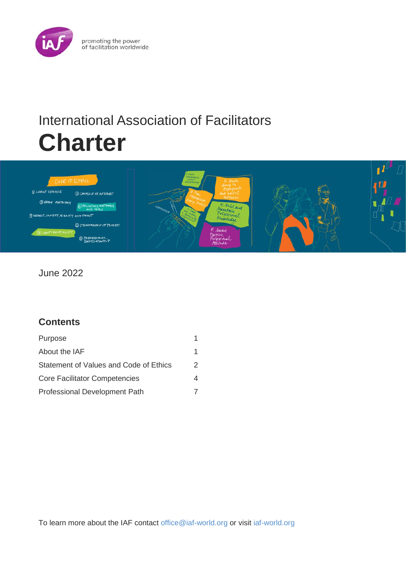

# International Association of Facilitators **Charter**



June 2022

# **Contents**

| Purpose                                |   |
|----------------------------------------|---|
| About the IAF                          | 1 |
| Statement of Values and Code of Ethics | 2 |
| <b>Core Facilitator Competencies</b>   | 4 |
| <b>Professional Development Path</b>   |   |

To learn more about the IAF contact [office@iaf-world.org](about:blank) or visit [iaf-world.org](about:blank)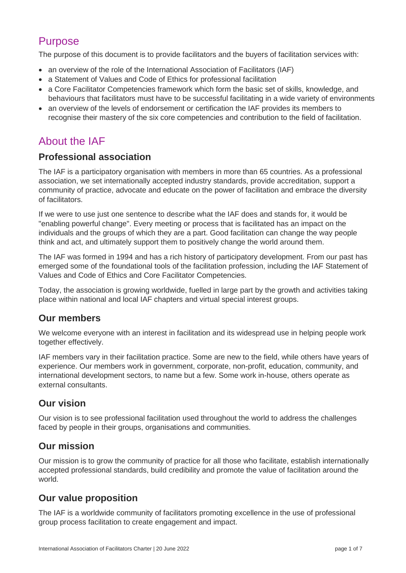# **Purpose**

The purpose of this document is to provide facilitators and the buyers of facilitation services with:

- an overview of the role of the International Association of Facilitators (IAF)
- a Statement of Values and Code of Ethics for professional facilitation
- a Core Facilitator Competencies framework which form the basic set of skills, knowledge, and behaviours that facilitators must have to be successful facilitating in a wide variety of environments
- an overview of the levels of endorsement or certification the IAF provides its members to recognise their mastery of the six core competencies and contribution to the field of facilitation.

# About the IAF

# **Professional association**

The IAF is a participatory organisation with members in more than 65 countries. As a professional association, we set internationally accepted industry standards, provide accreditation, support a community of practice, advocate and educate on the power of facilitation and embrace the diversity of facilitators.

If we were to use just one sentence to describe what the IAF does and stands for, it would be "enabling powerful change". Every meeting or process that is facilitated has an impact on the individuals and the groups of which they are a part. Good facilitation can change the way people think and act, and ultimately support them to positively change the world around them.

The IAF was formed in 1994 and has a rich history of participatory development. From our past has emerged some of the foundational tools of the facilitation profession, including the IAF Statement of Values and Code of Ethics and Core Facilitator Competencies.

Today, the association is growing worldwide, fuelled in large part by the growth and activities taking place within national and local IAF chapters and virtual special interest groups.

# **Our members**

We welcome everyone with an interest in facilitation and its widespread use in helping people work together effectively.

IAF members vary in their facilitation practice. Some are new to the field, while others have years of experience. Our members work in government, corporate, non-profit, education, community, and international development sectors, to name but a few. Some work in-house, others operate as external consultants.

# **Our vision**

Our vision is to see professional facilitation used throughout the world to address the challenges faced by people in their groups, organisations and communities.

## **Our mission**

Our mission is to grow the community of practice for all those who facilitate, establish internationally accepted professional standards, build credibility and promote the value of facilitation around the world.

# **Our value proposition**

The IAF is a worldwide community of facilitators promoting excellence in the use of professional group process facilitation to create engagement and impact.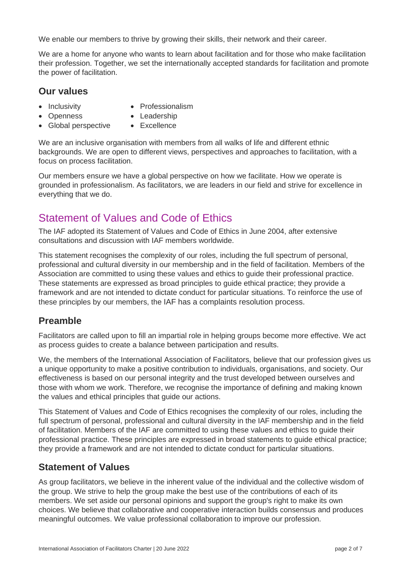We enable our members to thrive by growing their skills, their network and their career.

We are a home for anyone who wants to learn about facilitation and for those who make facilitation their profession. Together, we set the internationally accepted standards for facilitation and promote the power of facilitation.

## **Our values**

- Inclusivity
- Professionalism • Leadership
- Openness • Global perspective
- Excellence

We are an inclusive organisation with members from all walks of life and different ethnic backgrounds. We are open to different views, perspectives and approaches to facilitation, with a focus on process facilitation.

Our members ensure we have a global perspective on how we facilitate. How we operate is grounded in professionalism. As facilitators, we are leaders in our field and strive for excellence in everything that we do.

# Statement of Values and Code of Ethics

The IAF adopted its Statement of Values and Code of Ethics in June 2004, after extensive consultations and discussion with IAF members worldwide.

This statement recognises the complexity of our roles, including the full spectrum of personal, professional and cultural diversity in our membership and in the field of facilitation. Members of the Association are committed to using these values and ethics to guide their professional practice. These statements are expressed as broad principles to guide ethical practice; they provide a framework and are not intended to dictate conduct for particular situations. To reinforce the use of these principles by our members, the IAF has a complaints resolution process.

## **Preamble**

Facilitators are called upon to fill an impartial role in helping groups become more effective. We act as process guides to create a balance between participation and results.

We, the members of the International Association of Facilitators, believe that our profession gives us a unique opportunity to make a positive contribution to individuals, organisations, and society. Our effectiveness is based on our personal integrity and the trust developed between ourselves and those with whom we work. Therefore, we recognise the importance of defining and making known the values and ethical principles that guide our actions.

This Statement of Values and Code of Ethics recognises the complexity of our roles, including the full spectrum of personal, professional and cultural diversity in the IAF membership and in the field of facilitation. Members of the IAF are committed to using these values and ethics to guide their professional practice. These principles are expressed in broad statements to guide ethical practice; they provide a framework and are not intended to dictate conduct for particular situations.

## **Statement of Values**

As group facilitators, we believe in the inherent value of the individual and the collective wisdom of the group. We strive to help the group make the best use of the contributions of each of its members. We set aside our personal opinions and support the group's right to make its own choices. We believe that collaborative and cooperative interaction builds consensus and produces meaningful outcomes. We value professional collaboration to improve our profession.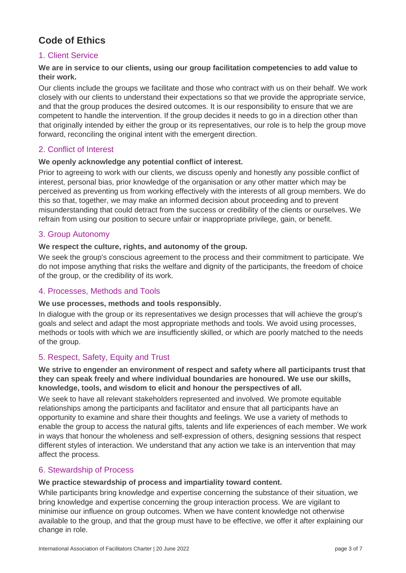# **Code of Ethics**

#### 1. Client Service

#### **We are in service to our clients, using our group facilitation competencies to add value to their work.**

Our clients include the groups we facilitate and those who contract with us on their behalf. We work closely with our clients to understand their expectations so that we provide the appropriate service, and that the group produces the desired outcomes. It is our responsibility to ensure that we are competent to handle the intervention. If the group decides it needs to go in a direction other than that originally intended by either the group or its representatives, our role is to help the group move forward, reconciling the original intent with the emergent direction.

#### 2. Conflict of Interest

#### **We openly acknowledge any potential conflict of interest.**

Prior to agreeing to work with our clients, we discuss openly and honestly any possible conflict of interest, personal bias, prior knowledge of the organisation or any other matter which may be perceived as preventing us from working effectively with the interests of all group members. We do this so that, together, we may make an informed decision about proceeding and to prevent misunderstanding that could detract from the success or credibility of the clients or ourselves. We refrain from using our position to secure unfair or inappropriate privilege, gain, or benefit.

#### 3. Group Autonomy

#### **We respect the culture, rights, and autonomy of the group.**

We seek the group's conscious agreement to the process and their commitment to participate. We do not impose anything that risks the welfare and dignity of the participants, the freedom of choice of the group, or the credibility of its work.

#### 4. Processes, Methods and Tools

#### **We use processes, methods and tools responsibly.**

In dialogue with the group or its representatives we design processes that will achieve the group's goals and select and adapt the most appropriate methods and tools. We avoid using processes, methods or tools with which we are insufficiently skilled, or which are poorly matched to the needs of the group.

#### 5. Respect, Safety, Equity and Trust

#### **We strive to engender an environment of respect and safety where all participants trust that they can speak freely and where individual boundaries are honoured. We use our skills, knowledge, tools, and wisdom to elicit and honour the perspectives of all.**

We seek to have all relevant stakeholders represented and involved. We promote equitable relationships among the participants and facilitator and ensure that all participants have an opportunity to examine and share their thoughts and feelings. We use a variety of methods to enable the group to access the natural gifts, talents and life experiences of each member. We work in ways that honour the wholeness and self-expression of others, designing sessions that respect different styles of interaction. We understand that any action we take is an intervention that may affect the process.

#### 6. Stewardship of Process

#### **We practice stewardship of process and impartiality toward content.**

While participants bring knowledge and expertise concerning the substance of their situation, we bring knowledge and expertise concerning the group interaction process. We are vigilant to minimise our influence on group outcomes. When we have content knowledge not otherwise available to the group, and that the group must have to be effective, we offer it after explaining our change in role.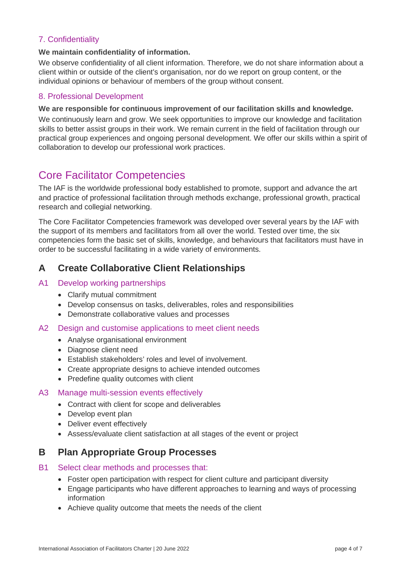#### 7. Confidentiality

#### **We maintain confidentiality of information.**

We observe confidentiality of all client information. Therefore, we do not share information about a client within or outside of the client's organisation, nor do we report on group content, or the individual opinions or behaviour of members of the group without consent.

#### 8. Professional Development

#### **We are responsible for continuous improvement of our facilitation skills and knowledge.**

We continuously learn and grow. We seek opportunities to improve our knowledge and facilitation skills to better assist groups in their work. We remain current in the field of facilitation through our practical group experiences and ongoing personal development. We offer our skills within a spirit of collaboration to develop our professional work practices.

# Core Facilitator Competencies

The IAF is the worldwide professional body established to promote, support and advance the art and practice of professional facilitation through methods exchange, professional growth, practical research and collegial networking.

The Core Facilitator Competencies framework was developed over several years by the IAF with the support of its members and facilitators from all over the world. Tested over time, the six competencies form the basic set of skills, knowledge, and behaviours that facilitators must have in order to be successful facilitating in a wide variety of environments.

# **A Create Collaborative Client Relationships**

#### A1 Develop working partnerships

- Clarify mutual commitment
- Develop consensus on tasks, deliverables, roles and responsibilities
- Demonstrate collaborative values and processes
- A2 Design and customise applications to meet client needs
	- Analyse organisational environment
	- Diagnose client need
	- Establish stakeholders' roles and level of involvement.
	- Create appropriate designs to achieve intended outcomes
	- Predefine quality outcomes with client

#### A3 Manage multi-session events effectively

- Contract with client for scope and deliverables
- Develop event plan
- Deliver event effectively
- Assess/evaluate client satisfaction at all stages of the event or project

## **B Plan Appropriate Group Processes**

#### B1 Select clear methods and processes that:

- Foster open participation with respect for client culture and participant diversity
- Engage participants who have different approaches to learning and ways of processing information
- Achieve quality outcome that meets the needs of the client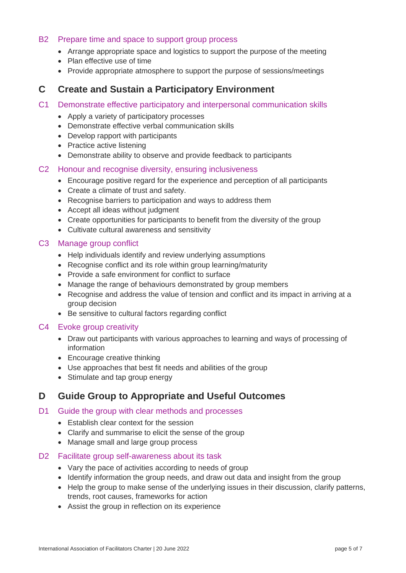#### B2 Prepare time and space to support group process

- Arrange appropriate space and logistics to support the purpose of the meeting
- Plan effective use of time
- Provide appropriate atmosphere to support the purpose of sessions/meetings

## **C Create and Sustain a Participatory Environment**

- C1 Demonstrate effective participatory and interpersonal communication skills
	- Apply a variety of participatory processes
	- Demonstrate effective verbal communication skills
	- Develop rapport with participants
	- Practice active listening
	- Demonstrate ability to observe and provide feedback to participants
- C2 Honour and recognise diversity, ensuring inclusiveness
	- Encourage positive regard for the experience and perception of all participants
	- Create a climate of trust and safety.
	- Recognise barriers to participation and ways to address them
	- Accept all ideas without judgment
	- Create opportunities for participants to benefit from the diversity of the group
	- Cultivate cultural awareness and sensitivity

#### C3 Manage group conflict

- Help individuals identify and review underlying assumptions
- Recognise conflict and its role within group learning/maturity
- Provide a safe environment for conflict to surface
- Manage the range of behaviours demonstrated by group members
- Recognise and address the value of tension and conflict and its impact in arriving at a group decision
- Be sensitive to cultural factors regarding conflict

#### C4 Evoke group creativity

- Draw out participants with various approaches to learning and ways of processing of information
- Encourage creative thinking
- Use approaches that best fit needs and abilities of the group
- Stimulate and tap group energy

## **D Guide Group to Appropriate and Useful Outcomes**

#### D1 Guide the group with clear methods and processes

- Establish clear context for the session
- Clarify and summarise to elicit the sense of the group
- Manage small and large group process

#### D2 Facilitate group self-awareness about its task

- Vary the pace of activities according to needs of group
- Identify information the group needs, and draw out data and insight from the group
- Help the group to make sense of the underlying issues in their discussion, clarify patterns, trends, root causes, frameworks for action
- Assist the group in reflection on its experience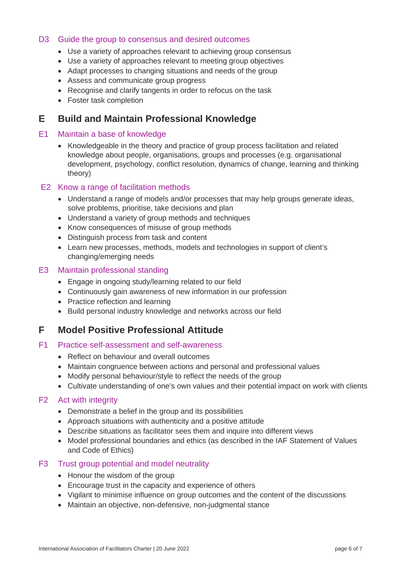#### D3 Guide the group to consensus and desired outcomes

- Use a variety of approaches relevant to achieving group consensus
- Use a variety of approaches relevant to meeting group objectives
- Adapt processes to changing situations and needs of the group
- Assess and communicate group progress
- Recognise and clarify tangents in order to refocus on the task
- Foster task completion

# **E Build and Maintain Professional Knowledge**

#### E1 Maintain a base of knowledge

• Knowledgeable in the theory and practice of group process facilitation and related knowledge about people, organisations, groups and processes (e.g. organisational development, psychology, conflict resolution, dynamics of change, learning and thinking theory)

#### E2 Know a range of facilitation methods

- Understand a range of models and/or processes that may help groups generate ideas, solve problems, prioritise, take decisions and plan
- Understand a variety of group methods and techniques
- Know consequences of misuse of group methods
- Distinguish process from task and content
- Learn new processes, methods, models and technologies in support of client's changing/emerging needs

#### E3 Maintain professional standing

- Engage in ongoing study/learning related to our field
- Continuously gain awareness of new information in our profession
- Practice reflection and learning
- Build personal industry knowledge and networks across our field

## **F Model Positive Professional Attitude**

- F1 Practice self-assessment and self-awareness
	- Reflect on behaviour and overall outcomes
	- Maintain congruence between actions and personal and professional values
	- Modify personal behaviour/style to reflect the needs of the group
	- Cultivate understanding of one's own values and their potential impact on work with clients

#### F2 Act with integrity

- Demonstrate a belief in the group and its possibilities
- Approach situations with authenticity and a positive attitude
- Describe situations as facilitator sees them and inquire into different views
- Model professional boundaries and ethics (as described in the IAF Statement of Values and Code of Ethics)

#### F3 Trust group potential and model neutrality

- Honour the wisdom of the group
- Encourage trust in the capacity and experience of others
- Vigilant to minimise influence on group outcomes and the content of the discussions
- Maintain an objective, non-defensive, non-judgmental stance